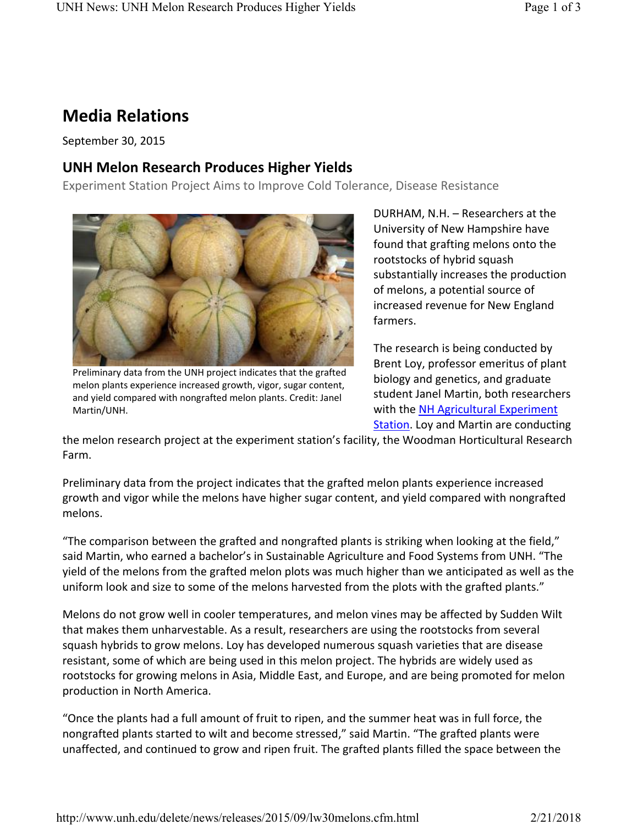# **Media Relations**

September 30, 2015

## **UNH Melon Research Produces Higher Yields**

Experiment Station Project Aims to Improve Cold Tolerance, Disease Resistance



Preliminary data from the UNH project indicates that the grafted melon plants experience increased growth, vigor, sugar content, and yield compared with nongrafted melon plants. Credit: Janel Martin/UNH.

DURHAM, N.H. – Researchers at the University of New Hampshire have found that grafting melons onto the rootstocks of hybrid squash substantially increases the production of melons, a potential source of increased revenue for New England farmers.

The research is being conducted by Brent Loy, professor emeritus of plant biology and genetics, and graduate student Janel Martin, both researchers with the NH Agricultural Experiment Station. Loy and Martin are conducting

the melon research project at the experiment station's facility, the Woodman Horticultural Research Farm.

Preliminary data from the project indicates that the grafted melon plants experience increased growth and vigor while the melons have higher sugar content, and yield compared with nongrafted melons.

"The comparison between the grafted and nongrafted plants is striking when looking at the field," said Martin, who earned a bachelor's in Sustainable Agriculture and Food Systems from UNH. "The yield of the melons from the grafted melon plots was much higher than we anticipated as well as the uniform look and size to some of the melons harvested from the plots with the grafted plants."

Melons do not grow well in cooler temperatures, and melon vines may be affected by Sudden Wilt that makes them unharvestable. As a result, researchers are using the rootstocks from several squash hybrids to grow melons. Loy has developed numerous squash varieties that are disease resistant, some of which are being used in this melon project. The hybrids are widely used as rootstocks for growing melons in Asia, Middle East, and Europe, and are being promoted for melon production in North America.

"Once the plants had a full amount of fruit to ripen, and the summer heat was in full force, the nongrafted plants started to wilt and become stressed," said Martin. "The grafted plants were unaffected, and continued to grow and ripen fruit. The grafted plants filled the space between the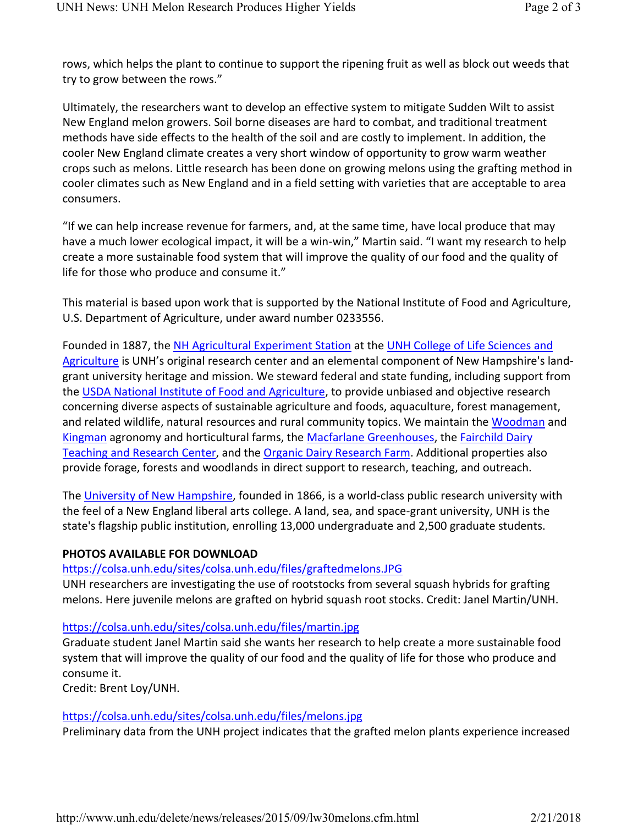rows, which helps the plant to continue to support the ripening fruit as well as block out weeds that try to grow between the rows."

Ultimately, the researchers want to develop an effective system to mitigate Sudden Wilt to assist New England melon growers. Soil borne diseases are hard to combat, and traditional treatment methods have side effects to the health of the soil and are costly to implement. In addition, the cooler New England climate creates a very short window of opportunity to grow warm weather crops such as melons. Little research has been done on growing melons using the grafting method in cooler climates such as New England and in a field setting with varieties that are acceptable to area consumers.

"If we can help increase revenue for farmers, and, at the same time, have local produce that may have a much lower ecological impact, it will be a win-win," Martin said. "I want my research to help create a more sustainable food system that will improve the quality of our food and the quality of life for those who produce and consume it."

This material is based upon work that is supported by the National Institute of Food and Agriculture, U.S. Department of Agriculture, under award number 0233556.

Founded in 1887, the NH Agricultural Experiment Station at the UNH College of Life Sciences and Agriculture is UNH's original research center and an elemental component of New Hampshire's landgrant university heritage and mission. We steward federal and state funding, including support from the USDA National Institute of Food and Agriculture, to provide unbiased and objective research concerning diverse aspects of sustainable agriculture and foods, aquaculture, forest management, and related wildlife, natural resources and rural community topics. We maintain the Woodman and Kingman agronomy and horticultural farms, the Macfarlane Greenhouses, the Fairchild Dairy Teaching and Research Center, and the Organic Dairy Research Farm. Additional properties also provide forage, forests and woodlands in direct support to research, teaching, and outreach.

The University of New Hampshire, founded in 1866, is a world-class public research university with the feel of a New England liberal arts college. A land, sea, and space-grant university, UNH is the state's flagship public institution, enrolling 13,000 undergraduate and 2,500 graduate students.

#### **PHOTOS AVAILABLE FOR DOWNLOAD**

### https://colsa.unh.edu/sites/colsa.unh.edu/files/graftedmelons.JPG

UNH researchers are investigating the use of rootstocks from several squash hybrids for grafting melons. Here juvenile melons are grafted on hybrid squash root stocks. Credit: Janel Martin/UNH.

### https://colsa.unh.edu/sites/colsa.unh.edu/files/martin.jpg

Graduate student Janel Martin said she wants her research to help create a more sustainable food system that will improve the quality of our food and the quality of life for those who produce and consume it.

Credit: Brent Loy/UNH.

### https://colsa.unh.edu/sites/colsa.unh.edu/files/melons.jpg

Preliminary data from the UNH project indicates that the grafted melon plants experience increased